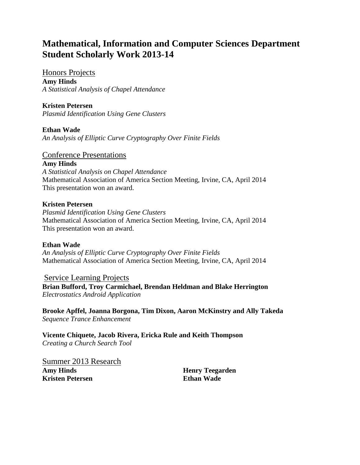# **Mathematical, Information and Computer Sciences Department Student Scholarly Work 2013-14**

Honors Projects **Amy Hinds** *A Statistical Analysis of Chapel Attendance*

## **Kristen Petersen**

*Plasmid Identification Using Gene Clusters*

**Ethan Wade** *An Analysis of Elliptic Curve Cryptography Over Finite Fields*

## Conference Presentations

**Amy Hinds** *A Statistical Analysis on Chapel Attendance*

Mathematical Association of America Section Meeting, Irvine, CA, April 2014 This presentation won an award.

### **Kristen Petersen**

*Plasmid Identification Using Gene Clusters* Mathematical Association of America Section Meeting, Irvine, CA, April 2014 This presentation won an award.

## **Ethan Wade**

*An Analysis of Elliptic Curve Cryptography Over Finite Fields* Mathematical Association of America Section Meeting, Irvine, CA, April 2014

Service Learning Projects **Brian Bufford, Troy Carmichael, Brendan Heldman and Blake Herrington** *Electrostatics Android Application*

**Brooke Apffel, Joanna Borgona, Tim Dixon, Aaron McKinstry and Ally Takeda** *Sequence Trance Enhancement*

**Vicente Chiquete, Jacob Rivera, Ericka Rule and Keith Thompson** *Creating a Church Search Tool*

Summer 2013 Research **Amy Hinds Kristen Petersen**

**Henry Teegarden Ethan Wade**